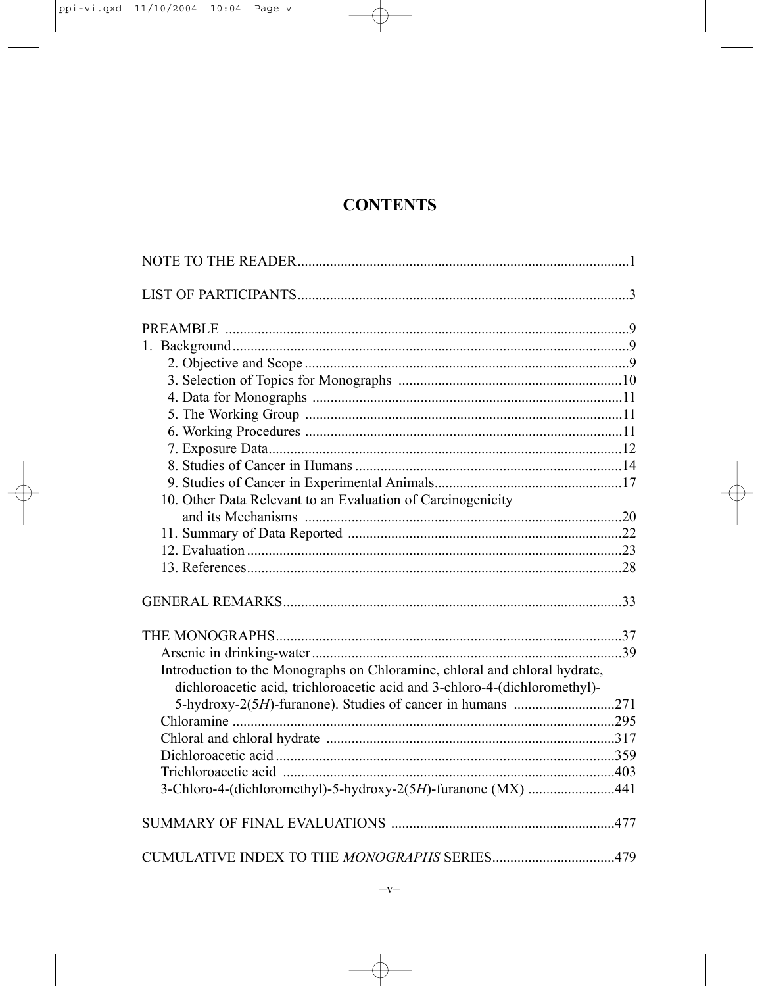## **CONTENTS**

| 10. Other Data Relevant to an Evaluation of Carcinogenicity                |  |
|----------------------------------------------------------------------------|--|
|                                                                            |  |
|                                                                            |  |
|                                                                            |  |
|                                                                            |  |
|                                                                            |  |
|                                                                            |  |
|                                                                            |  |
| Introduction to the Monographs on Chloramine, chloral and chloral hydrate, |  |
| dichloroacetic acid, trichloroacetic acid and 3-chloro-4-(dichloromethyl)- |  |
|                                                                            |  |
|                                                                            |  |
|                                                                            |  |
|                                                                            |  |
| 3-Chloro-4-(dichloromethyl)-5-hydroxy-2(5H)-furanone (MX) 441              |  |
|                                                                            |  |
|                                                                            |  |
|                                                                            |  |